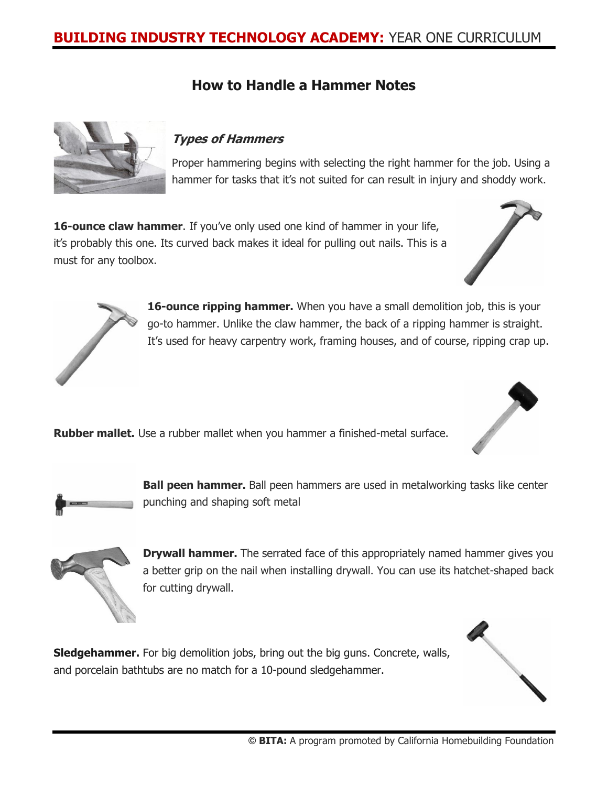# **BUILDING INDUSTRY TECHNOLOGY ACADEMY:** YEAR ONE CURRICULUM

### **How to Handle a Hammer Notes**



#### **Types of Hammers**

Proper hammering begins with selecting the right hammer for the job. Using a hammer for tasks that it's not suited for can result in injury and shoddy work.

**16-ounce claw hammer**. If you've only used one kind of hammer in your life, it's probably this one. Its curved back makes it ideal for pulling out nails. This is a must for any toolbox.





**16-ounce ripping hammer.** When you have a small demolition job, this is your go-to hammer. Unlike the claw hammer, the back of a ripping hammer is straight. It's used for heavy carpentry work, framing houses, and of course, ripping crap up.

**Rubber mallet.** Use a rubber mallet when you hammer a finished-metal surface.



**Ball peen hammer.** Ball peen hammers are used in metalworking tasks like center punching and shaping soft metal



**Drywall hammer.** The serrated face of this appropriately named hammer gives you a better grip on the nail when installing drywall. You can use its hatchet-shaped back for cutting drywall.

**Sledgehammer.** For big demolition jobs, bring out the big guns. Concrete, walls, and porcelain bathtubs are no match for a 10-pound sledgehammer.

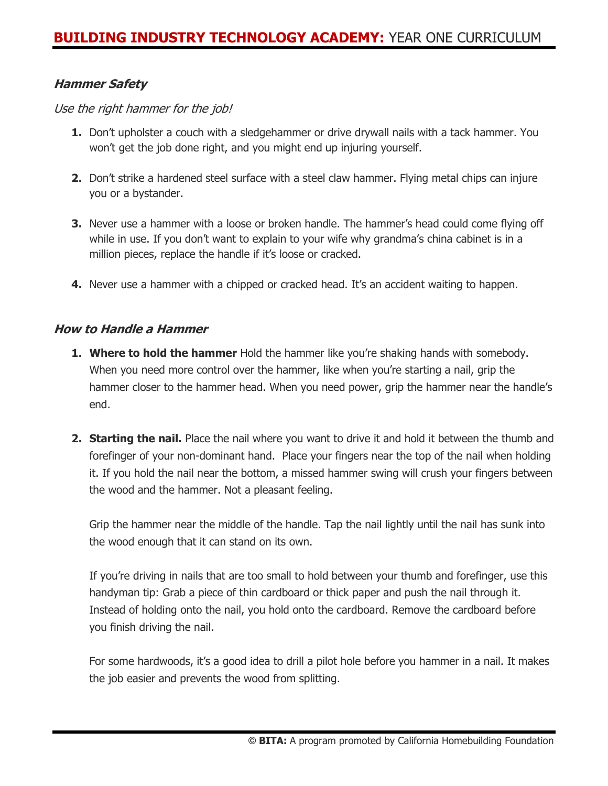#### **Hammer Safety**

#### Use the right hammer for the job!

- **1.** Don't upholster a couch with a sledgehammer or drive drywall nails with a tack hammer. You won't get the job done right, and you might end up injuring yourself.
- **2.** Don't strike a hardened steel surface with a steel claw hammer. Flying metal chips can injure you or a bystander.
- **3.** Never use a hammer with a loose or broken handle. The hammer's head could come flying off while in use. If you don't want to explain to your wife why grandma's china cabinet is in a million pieces, replace the handle if it's loose or cracked.
- **4.** Never use a hammer with a chipped or cracked head. It's an accident waiting to happen.

#### **How to Handle a Hammer**

- **1. Where to hold the hammer** Hold the hammer like you're shaking hands with somebody. When you need more control over the hammer, like when you're starting a nail, grip the hammer closer to the hammer head. When you need power, grip the hammer near the handle's end.
- **2. Starting the nail.** Place the nail where you want to drive it and hold it between the thumb and forefinger of your non-dominant hand. Place your fingers near the top of the nail when holding it. If you hold the nail near the bottom, a missed hammer swing will crush your fingers between the wood and the hammer. Not a pleasant feeling.

Grip the hammer near the middle of the handle. Tap the nail lightly until the nail has sunk into the wood enough that it can stand on its own.

If you're driving in nails that are too small to hold between your thumb and forefinger, use this handyman tip: Grab a piece of thin cardboard or thick paper and push the nail through it. Instead of holding onto the nail, you hold onto the cardboard. Remove the cardboard before you finish driving the nail.

For some hardwoods, it's a good idea to drill a pilot hole before you hammer in a nail. It makes the job easier and prevents the wood from splitting.